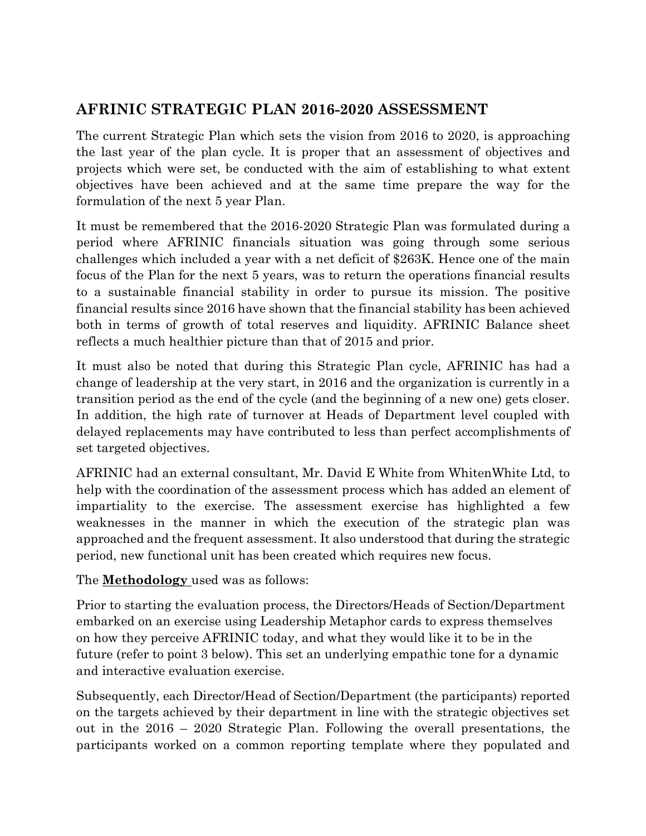## **AFRINIC STRATEGIC PLAN 2016-2020 ASSESSMENT**

The current Strategic Plan which sets the vision from 2016 to 2020, is approaching the last year of the plan cycle. It is proper that an assessment of objectives and projects which were set, be conducted with the aim of establishing to what extent objectives have been achieved and at the same time prepare the way for the formulation of the next 5 year Plan.

It must be remembered that the 2016-2020 Strategic Plan was formulated during a period where AFRINIC financials situation was going through some serious challenges which included a year with a net deficit of \$263K. Hence one of the main focus of the Plan for the next 5 years, was to return the operations financial results to a sustainable financial stability in order to pursue its mission. The positive financial results since 2016 have shown that the financial stability has been achieved both in terms of growth of total reserves and liquidity. AFRINIC Balance sheet reflects a much healthier picture than that of 2015 and prior.

It must also be noted that during this Strategic Plan cycle, AFRINIC has had a change of leadership at the very start, in 2016 and the organization is currently in a transition period as the end of the cycle (and the beginning of a new one) gets closer. In addition, the high rate of turnover at Heads of Department level coupled with delayed replacements may have contributed to less than perfect accomplishments of set targeted objectives.

AFRINIC had an external consultant, Mr. David E White from WhitenWhite Ltd, to help with the coordination of the assessment process which has added an element of impartiality to the exercise. The assessment exercise has highlighted a few weaknesses in the manner in which the execution of the strategic plan was approached and the frequent assessment. It also understood that during the strategic period, new functional unit has been created which requires new focus.

The **Methodology** used was as follows:

Prior to starting the evaluation process, the Directors/Heads of Section/Department embarked on an exercise using Leadership Metaphor cards to express themselves on how they perceive AFRINIC today, and what they would like it to be in the future (refer to point 3 below). This set an underlying empathic tone for a dynamic and interactive evaluation exercise.

Subsequently, each Director/Head of Section/Department (the participants) reported on the targets achieved by their department in line with the strategic objectives set out in the 2016 – 2020 Strategic Plan. Following the overall presentations, the participants worked on a common reporting template where they populated and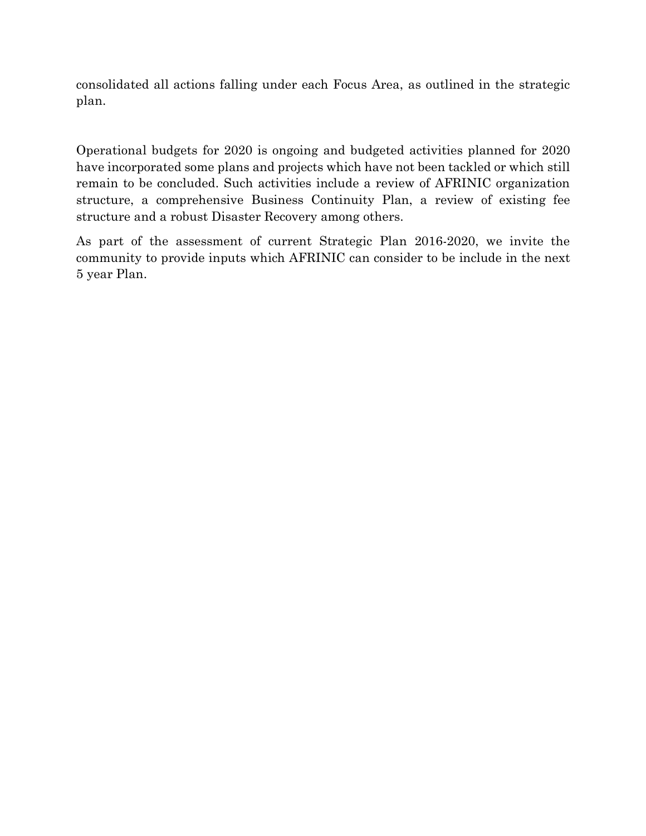consolidated all actions falling under each Focus Area, as outlined in the strategic plan.

Operational budgets for 2020 is ongoing and budgeted activities planned for 2020 have incorporated some plans and projects which have not been tackled or which still remain to be concluded. Such activities include a review of AFRINIC organization structure, a comprehensive Business Continuity Plan, a review of existing fee structure and a robust Disaster Recovery among others.

As part of the assessment of current Strategic Plan 2016-2020, we invite the community to provide inputs which AFRINIC can consider to be include in the next 5 year Plan.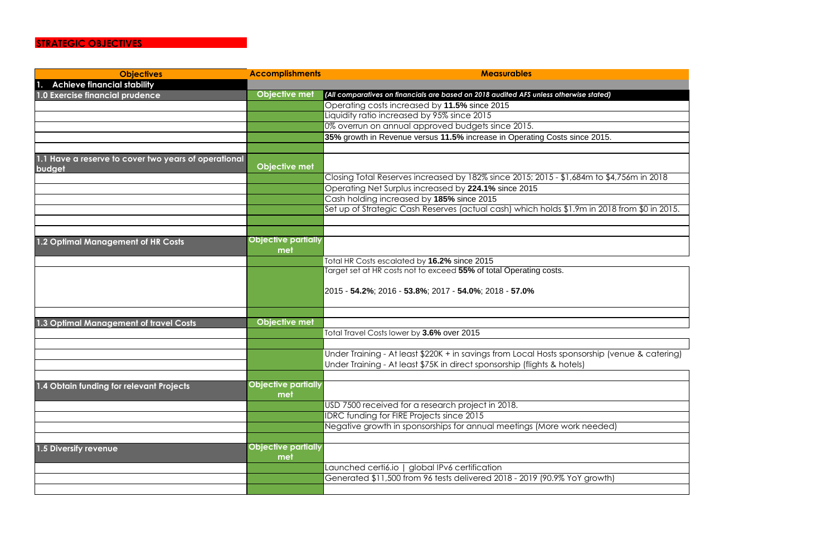## **STRATEGIC OBJECTIVES**

| <b>Objectives</b>                                              | <b>Accomplishments</b>     | <b>Measurables</b>                                                                     |
|----------------------------------------------------------------|----------------------------|----------------------------------------------------------------------------------------|
| <b>Achieve financial stability</b>                             |                            |                                                                                        |
| 1.0 Exercise financial prudence                                | <b>Objective met</b>       | (All comparatives on financials are based on 2018 audited AFS unless otherwise stated) |
|                                                                |                            | Operating costs increased by 11.5% since 2015                                          |
|                                                                |                            | Liquidity ratio increased by 95% since 2015                                            |
|                                                                |                            | 0% overrun on annual approved budgets since 2015.                                      |
|                                                                |                            | 35% growth in Revenue versus 11.5% increase in Operating Costs since 2015.             |
|                                                                |                            |                                                                                        |
| 1.1 Have a reserve to cover two years of operational<br>budget | Objective met              |                                                                                        |
|                                                                |                            | Closing Total Reserves increased by 182% since 2015; 2015 - \$1,684m to \$4,7.         |
|                                                                |                            | Operating Net Surplus increased by 224.1% since 2015                                   |
|                                                                |                            | Cash holding increased by 185% since 2015                                              |
|                                                                |                            | Set up of Strategic Cash Reserves (actual cash) which holds \$1.9m in 2018 fr          |
|                                                                |                            |                                                                                        |
|                                                                |                            |                                                                                        |
| 1.2 Optimal Management of HR Costs                             | <b>Objective partially</b> |                                                                                        |
|                                                                | met                        |                                                                                        |
|                                                                |                            | Total HR Costs escalated by 16.2% since 2015                                           |
|                                                                |                            | Target set at HR costs not to exceed 55% of total Operating costs.                     |
|                                                                |                            |                                                                                        |
|                                                                |                            | 2015 - <b>54.2%</b> ; 2016 - <b>53.8%</b> ; 2017 - <b>54.0%</b> ; 2018 - <b>57.0%</b>  |
|                                                                |                            |                                                                                        |
|                                                                |                            |                                                                                        |
| 1.3 Optimal Management of travel Costs                         | Objective met              |                                                                                        |
|                                                                |                            | Total Travel Costs lower by 3.6% over 2015                                             |
|                                                                |                            |                                                                                        |
|                                                                |                            | Under Training - At least \$220K + in savings from Local Hosts sponsorship (ver        |
|                                                                |                            | Under Training - At least \$75K in direct sponsorship (flights & hotels)               |
|                                                                | <b>Objective partially</b> |                                                                                        |
| 1.4 Obtain funding for relevant Projects                       | met                        |                                                                                        |
|                                                                |                            | USD 7500 received for a research project in 2018.                                      |
|                                                                |                            | <b>IDRC funding for FIRE Projects since 2015</b>                                       |
|                                                                |                            | Negative growth in sponsorships for annual meetings (More work needed)                 |
|                                                                |                            |                                                                                        |
| 1.5 Diversify revenue                                          | <b>Objective partially</b> |                                                                                        |
|                                                                | met                        |                                                                                        |
|                                                                |                            | Launched certi6.io   global IPv6 certification                                         |
|                                                                |                            | Generated \$11,500 from 96 tests delivered 2018 - 2019 (90.9% YoY growth)              |
|                                                                |                            |                                                                                        |
|                                                                |                            |                                                                                        |

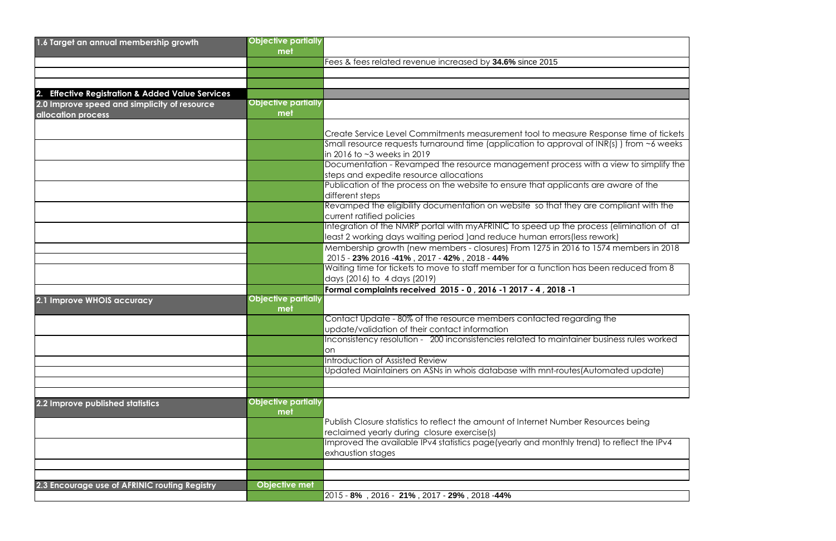

 $\overline{\overline{\mathsf{I}}}$  reflect the IPv4

| 1.6 Target an annual membership growth           | <b>Objective partially</b> |                                                                                            |
|--------------------------------------------------|----------------------------|--------------------------------------------------------------------------------------------|
|                                                  | met                        |                                                                                            |
|                                                  |                            | Fees & fees related revenue increased by 34.6% since 2015                                  |
|                                                  |                            |                                                                                            |
|                                                  |                            |                                                                                            |
| 2. Effective Registration & Added Value Services |                            |                                                                                            |
| 2.0 Improve speed and simplicity of resource     | <b>Objective partially</b> |                                                                                            |
| allocation process                               | met                        |                                                                                            |
|                                                  |                            |                                                                                            |
|                                                  |                            | Create Service Level Commitments measurement tool to measure Response time of tickets      |
|                                                  |                            | Small resource requests turnaround time (application to approval of INR(s)) from ~6 weeks  |
|                                                  |                            | in 2016 to ~3 weeks in 2019                                                                |
|                                                  |                            | Documentation - Revamped the resource management process with a view to simplify the       |
|                                                  |                            | steps and expedite resource allocations                                                    |
|                                                  |                            | Publication of the process on the website to ensure that applicants are aware of the       |
|                                                  |                            | different steps                                                                            |
|                                                  |                            | Revamped the eligibility documentation on website so that they are compliant with the      |
|                                                  |                            | current ratified policies                                                                  |
|                                                  |                            | Integration of the NMRP portal with myAFRINIC to speed up the process (elimination of at   |
|                                                  |                            | least 2 working days waiting period ) and reduce human errors (less rework)                |
|                                                  |                            | Membership growth (new members - closures) From 1275 in 2016 to 1574 members in 2018       |
|                                                  |                            | 2015 - 23% 2016 -41%, 2017 - 42%, 2018 - 44%                                               |
|                                                  |                            | Waiting time for tickets to move to staff member for a function has been reduced from 8    |
|                                                  |                            | days (2016) to 4 days (2019)                                                               |
|                                                  |                            | Formal complaints received 2015 - 0, 2016 -1 2017 - 4, 2018 -1                             |
| 2.1 Improve WHOIS accuracy                       | <b>Objective partially</b> |                                                                                            |
|                                                  | met                        |                                                                                            |
|                                                  |                            | Contact Update - 80% of the resource members contacted regarding the                       |
|                                                  |                            | update/validation of their contact information                                             |
|                                                  |                            | Inconsistency resolution - 200 inconsistencies related to maintainer business rules worked |
|                                                  |                            | <b>on</b>                                                                                  |
|                                                  |                            | Introduction of Assisted Review                                                            |
|                                                  |                            | Updated Maintainers on ASNs in whois database with mnt-routes(Automated update)            |
|                                                  |                            |                                                                                            |
|                                                  |                            |                                                                                            |
| 2.2 Improve published statistics                 | <b>Objective partially</b> |                                                                                            |
|                                                  | met                        |                                                                                            |
|                                                  |                            | Publish Closure statistics to reflect the amount of Internet Number Resources being        |
|                                                  |                            | reclaimed yearly during closure exercise(s)                                                |
|                                                  |                            | Improved the available IPv4 statistics page(yearly and monthly trend) to reflect the IPv4  |
|                                                  |                            | exhaustion stages                                                                          |
|                                                  |                            |                                                                                            |
|                                                  |                            |                                                                                            |
| 2.3 Encourage use of AFRINIC routing Registry    | Objective met              |                                                                                            |
|                                                  |                            | 2015 - 8%, 2016 - 21%, 2017 - 29%, 2018 - 44%                                              |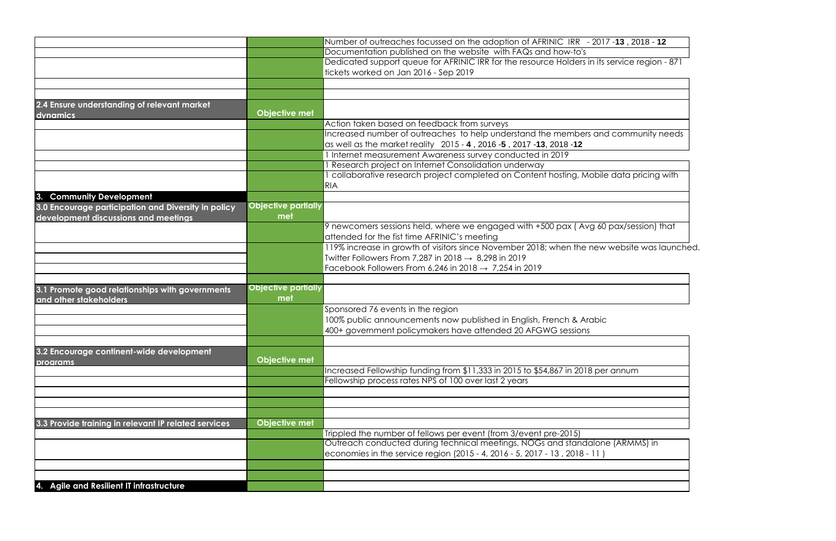|                                                                           |                                   | Number of outreaches focussed on the adoption of AFRINIC IRR - 2017 -13, 2018 - 12           |
|---------------------------------------------------------------------------|-----------------------------------|----------------------------------------------------------------------------------------------|
|                                                                           |                                   | Documentation published on the website with FAQs and how-to's                                |
|                                                                           |                                   | Dedicated support queue for AFRINIC IRR for the resource Holders in its service region - 871 |
|                                                                           |                                   | tickets worked on Jan 2016 - Sep 2019                                                        |
|                                                                           |                                   |                                                                                              |
|                                                                           |                                   |                                                                                              |
|                                                                           |                                   |                                                                                              |
| 2.4 Ensure understanding of relevant market                               |                                   |                                                                                              |
| dynamics                                                                  | <b>Objective met</b>              |                                                                                              |
|                                                                           |                                   | Action taken based on feedback from surveys                                                  |
|                                                                           |                                   | Increased number of outreaches to help understand the members and community needs            |
|                                                                           |                                   | as well as the market reality 2015 - 4, 2016 - 5, 2017 - 13, 2018 - 12                       |
|                                                                           |                                   | 1 Internet measurement Awareness survey conducted in 2019                                    |
|                                                                           |                                   | Research project on Internet Consolidation underway                                          |
|                                                                           |                                   | collaborative research project completed on Content hosting, Mobile data pricing with        |
|                                                                           |                                   |                                                                                              |
|                                                                           |                                   | <b>RIA</b>                                                                                   |
| 3. Community Development                                                  |                                   |                                                                                              |
| 3.0 Encourage participation and Diversity in policy                       | <b>Objective partially</b>        |                                                                                              |
| development discussions and meetings                                      | met                               |                                                                                              |
|                                                                           |                                   | 9 newcomers sessions held, where we engaged with +500 pax (Avg 60 pax/session) that          |
|                                                                           |                                   | attended for the fist time AFRINIC's meeting                                                 |
|                                                                           |                                   | 119% increase in growth of visitors since November 2018; when the new website was launched.  |
|                                                                           |                                   | Twitter Followers From 7,287 in 2018 $\rightarrow$ 8,298 in 2019                             |
|                                                                           |                                   |                                                                                              |
|                                                                           |                                   | Facebook Followers From 6,246 in 2018 $\rightarrow$ 7,254 in 2019                            |
|                                                                           |                                   |                                                                                              |
| 3.1 Promote good relationships with governments<br>and other stakeholders | <b>Objective partially</b><br>met |                                                                                              |
|                                                                           |                                   | Sponsored 76 events in the region                                                            |
|                                                                           |                                   | 100% public announcements now published in English, French & Arabic                          |
|                                                                           |                                   | 400+ government policymakers have attended 20 AFGWG sessions                                 |
|                                                                           |                                   |                                                                                              |
|                                                                           |                                   |                                                                                              |
| 3.2 Encourage continent-wide development                                  |                                   |                                                                                              |
| programs                                                                  | <b>Objective met</b>              |                                                                                              |
|                                                                           |                                   | Increased Fellowship funding from \$11,333 in 2015 to \$54,867 in 2018 per annum             |
|                                                                           |                                   | Fellowship process rates NPS of 100 over last 2 years                                        |
|                                                                           |                                   |                                                                                              |
|                                                                           |                                   |                                                                                              |
|                                                                           |                                   |                                                                                              |
|                                                                           | <b>Objective met</b>              |                                                                                              |
| 3.3 Provide training in relevant IP related services                      |                                   |                                                                                              |
|                                                                           |                                   | Trippled the number of fellows per event (from 3/event pre-2015)                             |
|                                                                           |                                   | Outreach conducted during technical meetings, NOGs and standalone (ARMMS) in                 |
|                                                                           |                                   | economies in the service region (2015 - 4, 2016 - 5, 2017 - 13, 2018 - 11)                   |
|                                                                           |                                   |                                                                                              |
|                                                                           |                                   |                                                                                              |
| 4. Agile and Resilient IT infrastructure                                  |                                   |                                                                                              |



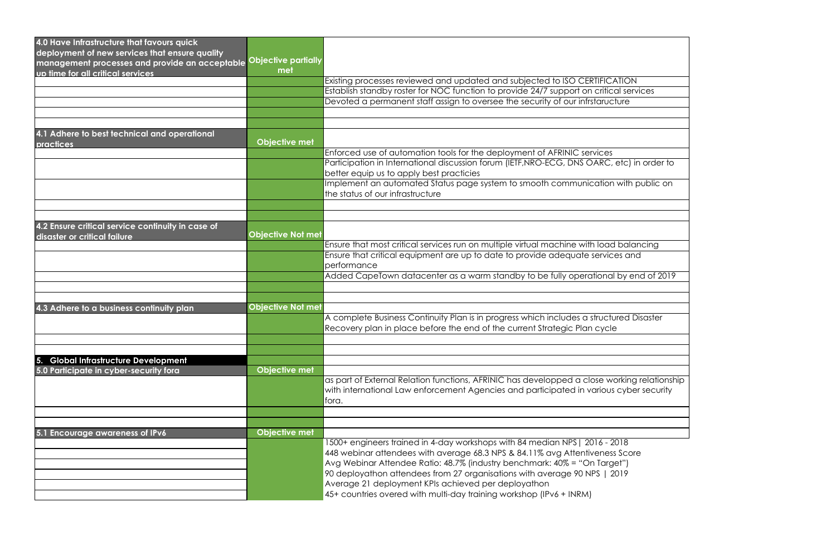| 4.0 Have Infrastructure that favours quick        |                            |                                                                                             |
|---------------------------------------------------|----------------------------|---------------------------------------------------------------------------------------------|
| deployment of new services that ensure quality    |                            |                                                                                             |
| management processes and provide an acceptable    | <b>Objective partially</b> |                                                                                             |
| up time for all critical services                 | met                        |                                                                                             |
|                                                   |                            | Existing processes reviewed and updated and subjected to ISO CERTIFICATION                  |
|                                                   |                            | Establish standby roster for NOC function to provide 24/7 support on critical services      |
|                                                   |                            | Devoted a permanent staff assign to oversee the security of our infrstaructure              |
|                                                   |                            |                                                                                             |
|                                                   |                            |                                                                                             |
| 4.1 Adhere to best technical and operational      |                            |                                                                                             |
| practices                                         | <b>Objective met</b>       | Enforced use of automation tools for the deployment of AFRINIC services                     |
|                                                   |                            | Participation in International discussion forum (IETF, NRO-ECG, DNS OARC, etc) in order to  |
|                                                   |                            | better equip us to apply best practicies                                                    |
|                                                   |                            | Implement an automated Status page system to smooth communication with public on            |
|                                                   |                            | the status of our infrastructure                                                            |
|                                                   |                            |                                                                                             |
|                                                   |                            |                                                                                             |
| 4.2 Ensure critical service continuity in case of |                            |                                                                                             |
| disaster or critical failure                      | <b>Objective Not met</b>   |                                                                                             |
|                                                   |                            | Ensure that most critical services run on multiple virtual machine with load balancing      |
|                                                   |                            | Ensure that critical equipment are up to date to provide adequate services and              |
|                                                   |                            | performance                                                                                 |
|                                                   |                            | Added CapeTown datacenter as a warm standby to be fully operational by end of 2019          |
|                                                   |                            |                                                                                             |
|                                                   |                            |                                                                                             |
| 4.3 Adhere to a business continuity plan          | <b>Objective Not met</b>   |                                                                                             |
|                                                   |                            | A complete Business Continuity Plan is in progress which includes a structured Disaster     |
|                                                   |                            | Recovery plan in place before the end of the current Strategic Plan cycle                   |
|                                                   |                            |                                                                                             |
|                                                   |                            |                                                                                             |
| <b>Global Infrastructure Development</b><br>5.    |                            |                                                                                             |
| 5.0 Participate in cyber-security fora            | <b>Objective met</b>       |                                                                                             |
|                                                   |                            | as part of External Relation functions, AFRINIC has developped a close working relationship |
|                                                   |                            | with international Law enforcement Agencies and participated in various cyber security      |
|                                                   |                            | fora.                                                                                       |
|                                                   |                            |                                                                                             |
|                                                   |                            |                                                                                             |
| 5.1 Encourage awareness of IPv6                   | <b>Objective met</b>       |                                                                                             |
|                                                   |                            | 1500+ engineers trained in 4-day workshops with 84 median NPS   2016 - 2018                 |
|                                                   |                            | 448 webinar attendees with average 68.3 NPS & 84.11% avg Attentiveness Score                |
|                                                   |                            | Avg Webinar Attendee Ratio: 48.7% (industry benchmark: 40% = "On Target")                   |
|                                                   |                            | 90 deployathon attendees from 27 organisations with average 90 NPS   2019                   |
|                                                   |                            | Average 21 deployment KPIs achieved per deployathon                                         |
|                                                   |                            | 45+ countries overed with multi-day training workshop (IPv6 + INRM)                         |